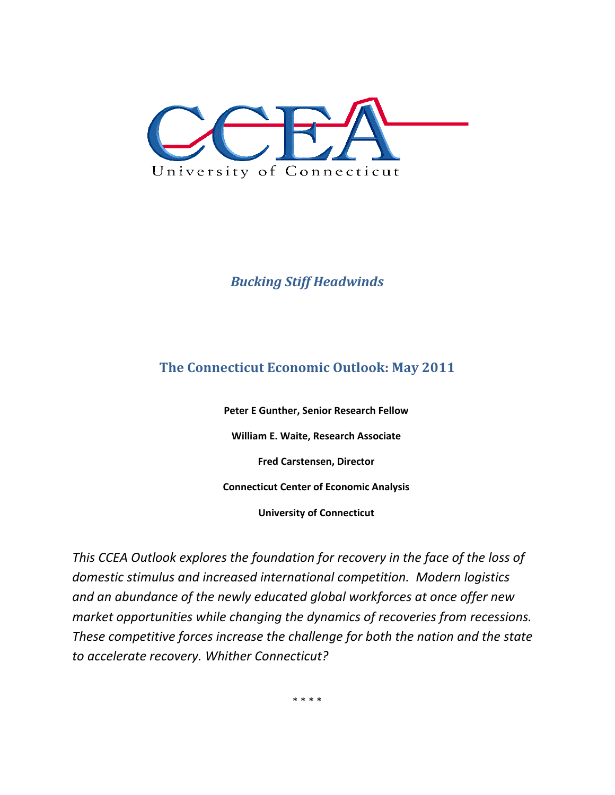

# *Bucking Stiff Headwinds*

# **The Connecticut Economic Outlook: May 2011**

**Peter E Gunther, Senior Research Fellow William E. Waite, Research Associate Fred Carstensen, Director Connecticut Center of Economic Analysis** 

**University of Connecticut** 

*This CCEA Outlook explores the foundation for recovery in the face of the loss of domestic stimulus and increased international competition. Modern logistics and an abundance of the newly educated global workforces at once offer new market opportunities while changing the dynamics of recoveries from recessions. These competitive forces increase the challenge for both the nation and the state to accelerate recovery. Whither Connecticut?* 

\* \* \* \*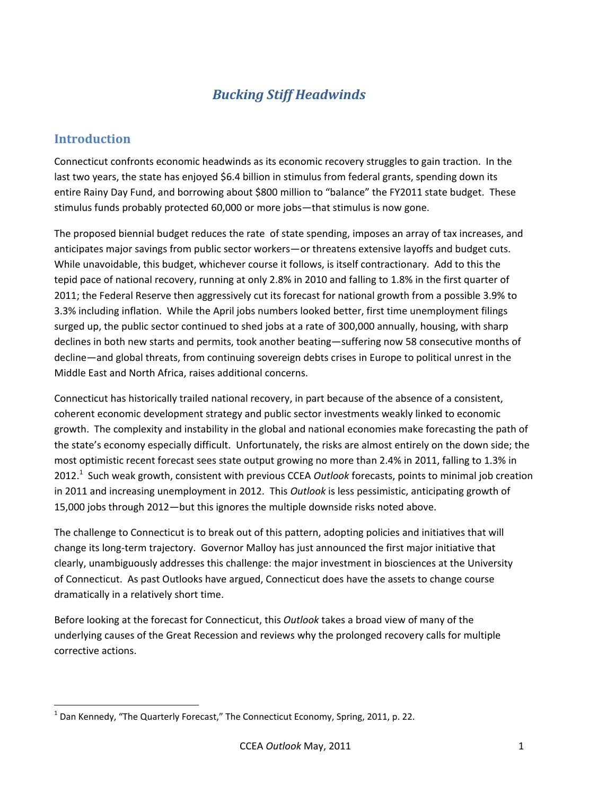# *Bucking Stiff Headwinds*

### **Introduction**

 $\overline{\phantom{a}}$ 

Connecticut confronts economic headwinds as its economic recovery struggles to gain traction. In the last two years, the state has enjoyed \$6.4 billion in stimulus from federal grants, spending down its entire Rainy Day Fund, and borrowing about \$800 million to "balance" the FY2011 state budget. These stimulus funds probably protected 60,000 or more jobs—that stimulus is now gone.

The proposed biennial budget reduces the rate of state spending, imposes an array of tax increases, and anticipates major savings from public sector workers—or threatens extensive layoffs and budget cuts. While unavoidable, this budget, whichever course it follows, is itself contractionary. Add to this the tepid pace of national recovery, running at only 2.8% in 2010 and falling to 1.8% in the first quarter of 2011; the Federal Reserve then aggressively cut its forecast for national growth from a possible 3.9% to 3.3% including inflation. While the April jobs numbers looked better, first time unemployment filings surged up, the public sector continued to shed jobs at a rate of 300,000 annually, housing, with sharp declines in both new starts and permits, took another beating—suffering now 58 consecutive months of decline—and global threats, from continuing sovereign debts crises in Europe to political unrest in the Middle East and North Africa, raises additional concerns.

Connecticut has historically trailed national recovery, in part because of the absence of a consistent, coherent economic development strategy and public sector investments weakly linked to economic growth. The complexity and instability in the global and national economies make forecasting the path of the state's economy especially difficult. Unfortunately, the risks are almost entirely on the down side; the most optimistic recent forecast sees state output growing no more than 2.4% in 2011, falling to 1.3% in 2012.<sup>1</sup> Such weak growth, consistent with previous CCEA *Outlook* forecasts, points to minimal job creation in 2011 and increasing unemployment in 2012. This *Outlook* is less pessimistic, anticipating growth of 15,000 jobs through 2012—but this ignores the multiple downside risks noted above.

The challenge to Connecticut is to break out of this pattern, adopting policies and initiatives that will change its long-term trajectory. Governor Malloy has just announced the first major initiative that clearly, unambiguously addresses this challenge: the major investment in biosciences at the University of Connecticut. As past Outlooks have argued, Connecticut does have the assets to change course dramatically in a relatively short time.

Before looking at the forecast for Connecticut, this *Outlook* takes a broad view of many of the underlying causes of the Great Recession and reviews why the prolonged recovery calls for multiple corrective actions.

 $^1$  Dan Kennedy, "The Quarterly Forecast," The Connecticut Economy, Spring, 2011, p. 22.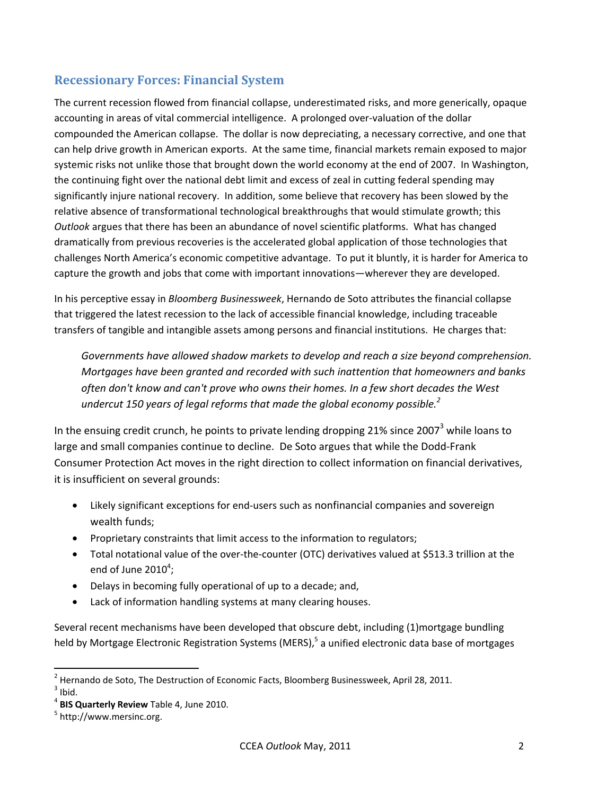### **Recessionary Forces: Financial System**

The current recession flowed from financial collapse, underestimated risks, and more generically, opaque accounting in areas of vital commercial intelligence. A prolonged over-valuation of the dollar compounded the American collapse. The dollar is now depreciating, a necessary corrective, and one that can help drive growth in American exports. At the same time, financial markets remain exposed to major systemic risks not unlike those that brought down the world economy at the end of 2007. In Washington, the continuing fight over the national debt limit and excess of zeal in cutting federal spending may significantly injure national recovery. In addition, some believe that recovery has been slowed by the relative absence of transformational technological breakthroughs that would stimulate growth; this *Outlook* argues that there has been an abundance of novel scientific platforms. What has changed dramatically from previous recoveries is the accelerated global application of those technologies that challenges North America's economic competitive advantage. To put it bluntly, it is harder for America to capture the growth and jobs that come with important innovations—wherever they are developed.

In his perceptive essay in *Bloomberg Businessweek*, Hernando de Soto attributes the financial collapse that triggered the latest recession to the lack of accessible financial knowledge, including traceable transfers of tangible and intangible assets among persons and financial institutions. He charges that:

*Governments have allowed shadow markets to develop and reach a size beyond comprehension. Mortgages have been granted and recorded with such inattention that homeowners and banks often don't know and can't prove who owns their homes. In a few short decades the West undercut 150 years of legal reforms that made the global economy possible.2*

In the ensuing credit crunch, he points to private lending dropping 21% since 2007<sup>3</sup> while loans to large and small companies continue to decline. De Soto argues that while the Dodd-Frank Consumer Protection Act moves in the right direction to collect information on financial derivatives, it is insufficient on several grounds:

- Likely significant exceptions for end-users such as nonfinancial companies and sovereign wealth funds;
- Proprietary constraints that limit access to the information to regulators;
- Total notational value of the over-the-counter (OTC) derivatives valued at \$513.3 trillion at the end of June  $2010^4$ ;
- Delays in becoming fully operational of up to a decade; and,
- Lack of information handling systems at many clearing houses.

Several recent mechanisms have been developed that obscure debt, including (1)mortgage bundling held by Mortgage Electronic Registration Systems (MERS),<sup>5</sup> a unified electronic data base of mortgages

1

 $^2$  Hernando de Soto, The Destruction of Economic Facts, Bloomberg Businessweek, April 28, 2011.<br><sup>3</sup> Ibid  $3$  Ibid.

<sup>&</sup>lt;sup>4</sup> BIS Quarterly Review Table 4, June 2010.

<sup>&</sup>lt;sup>5</sup> http://www.mersinc.org.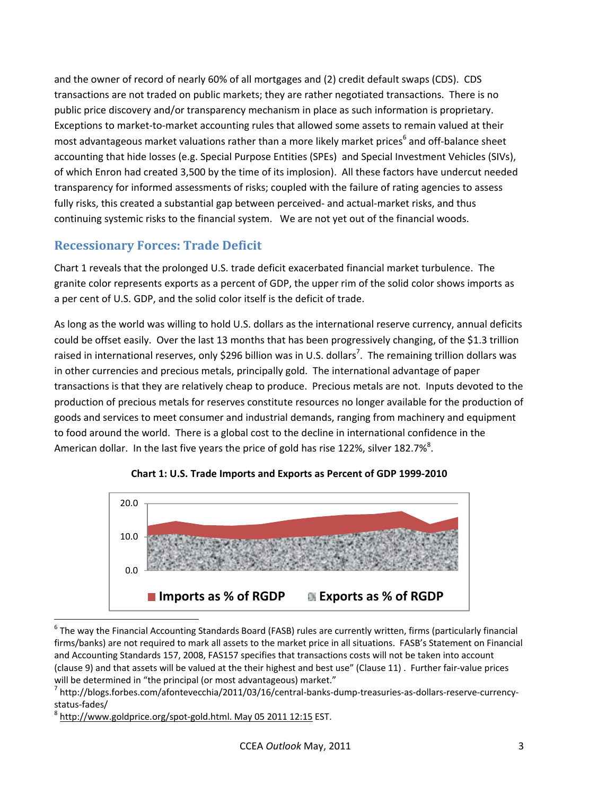and the owner of record of nearly 60% of all mortgages and (2) credit default swaps (CDS). CDS transactions are not traded on public markets; they are rather negotiated transactions. There is no public price discovery and/or transparency mechanism in place as such information is proprietary. Exceptions to market-to-market accounting rules that allowed some assets to remain valued at their most advantageous market valuations rather than a more likely market prices<sup>6</sup> and off-balance sheet accounting that hide losses (e.g. Special Purpose Entities (SPEs) and Special Investment Vehicles (SIVs), of which Enron had created 3,500 by the time of its implosion). All these factors have undercut needed transparency for informed assessments of risks; coupled with the failure of rating agencies to assess fully risks, this created a substantial gap between perceived- and actual-market risks, and thus continuing systemic risks to the financial system. We are not yet out of the financial woods.

# **Recessionary Forces: Trade Deficit**

Chart 1 reveals that the prolonged U.S. trade deficit exacerbated financial market turbulence. The granite color represents exports as a percent of GDP, the upper rim of the solid color shows imports as a per cent of U.S. GDP, and the solid color itself is the deficit of trade.

As long as the world was willing to hold U.S. dollars as the international reserve currency, annual deficits could be offset easily. Over the last 13 months that has been progressively changing, of the \$1.3 trillion raised in international reserves, only \$296 billion was in U.S. dollars<sup>7</sup>. The remaining trillion dollars was in other currencies and precious metals, principally gold. The international advantage of paper transactions is that they are relatively cheap to produce. Precious metals are not. Inputs devoted to the production of precious metals for reserves constitute resources no longer available for the production of goods and services to meet consumer and industrial demands, ranging from machinery and equipment to food around the world. There is a global cost to the decline in international confidence in the American dollar. In the last five years the price of gold has rise 122%, silver 182.7%<sup>8</sup>.



**Chart 1: U.S. Trade Imports and Exports as Percent of GDP 1999-2010**

1

<sup>&</sup>lt;sup>6</sup> The way the Financial Accounting Standards Board (FASB) rules are currently written, firms (particularly financial firms/banks) are not required to mark all assets to the market price in all situations. FASB's Statement on Financial and Accounting Standards 157, 2008, FAS157 specifies that transactions costs will not be taken into account (clause 9) and that assets will be valued at the their highest and best use" (Clause 11) . Further fair-value prices will be determined in "the principal (or most advantageous) market."

 $^7$  http://blogs.forbes.com/afontevecchia/2011/03/16/central-banks-dump-treasuries-as-dollars-reserve-currencystatus-fades/

<sup>&</sup>lt;sup>8</sup> http://www.goldprice.org/spot-gold.html. May 05 2011 12:15 EST.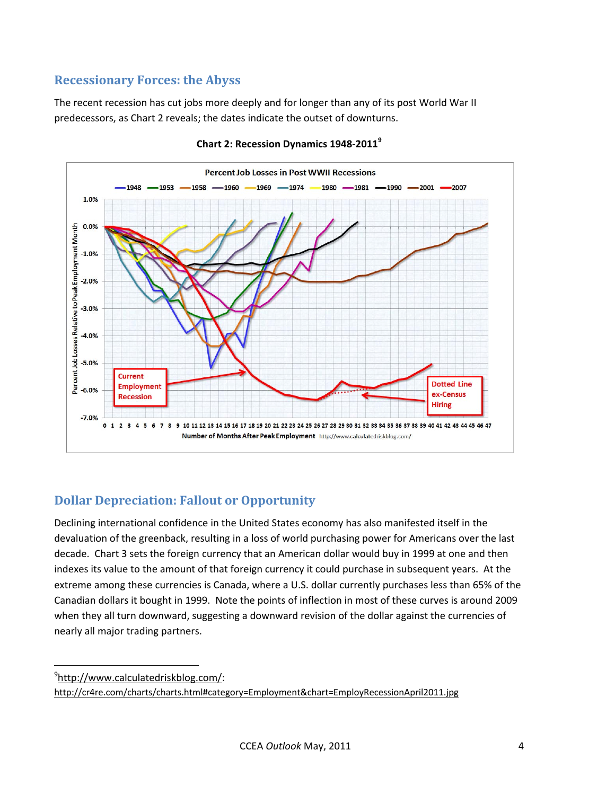### **Recessionary Forces: the Abyss**

The recent recession has cut jobs more deeply and for longer than any of its post World War II predecessors, as Chart 2 reveals; the dates indicate the outset of downturns.



**Chart 2: Recession Dynamics 1948-2011<sup>9</sup>**

### **Dollar Depreciation: Fallout or Opportunity**

Declining international confidence in the United States economy has also manifested itself in the devaluation of the greenback, resulting in a loss of world purchasing power for Americans over the last decade. Chart 3 sets the foreign currency that an American dollar would buy in 1999 at one and then indexes its value to the amount of that foreign currency it could purchase in subsequent years. At the extreme among these currencies is Canada, where a U.S. dollar currently purchases less than 65% of the Canadian dollars it bought in 1999. Note the points of inflection in most of these curves is around 2009 when they all turn downward, suggesting a downward revision of the dollar against the currencies of nearly all major trading partners.

9 http://www.calculatedriskblog.com/:

 $\overline{\phantom{a}}$ 

http://cr4re.com/charts/charts.html#category=Employment&chart=EmployRecessionApril2011.jpg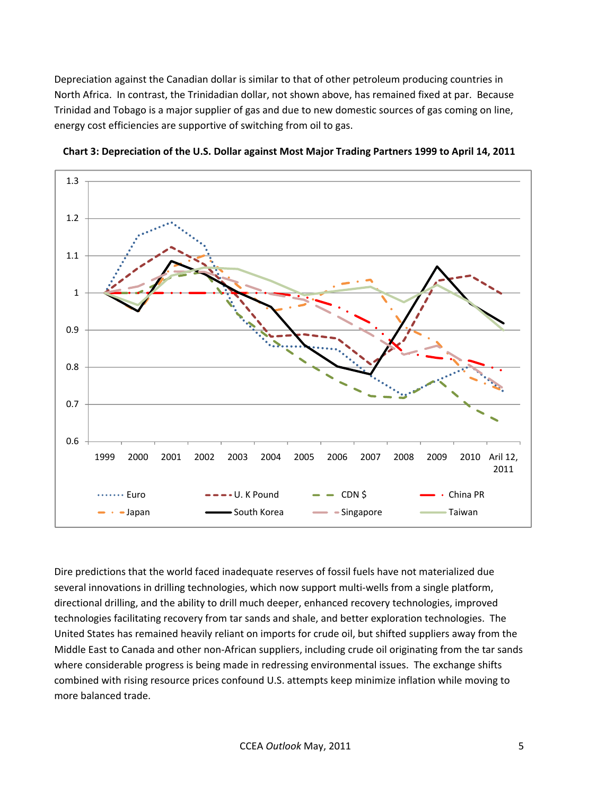Depreciation against the Canadian dollar is similar to that of other petroleum producing countries in North Africa. In contrast, the Trinidadian dollar, not shown above, has remained fixed at par. Because Trinidad and Tobago is a major supplier of gas and due to new domestic sources of gas coming on line, energy cost efficiencies are supportive of switching from oil to gas.





Dire predictions that the world faced inadequate reserves of fossil fuels have not materialized due several innovations in drilling technologies, which now support multi-wells from a single platform, directional drilling, and the ability to drill much deeper, enhanced recovery technologies, improved technologies facilitating recovery from tar sands and shale, and better exploration technologies. The United States has remained heavily reliant on imports for crude oil, but shifted suppliers away from the Middle East to Canada and other non-African suppliers, including crude oil originating from the tar sands where considerable progress is being made in redressing environmental issues. The exchange shifts combined with rising resource prices confound U.S. attempts keep minimize inflation while moving to more balanced trade.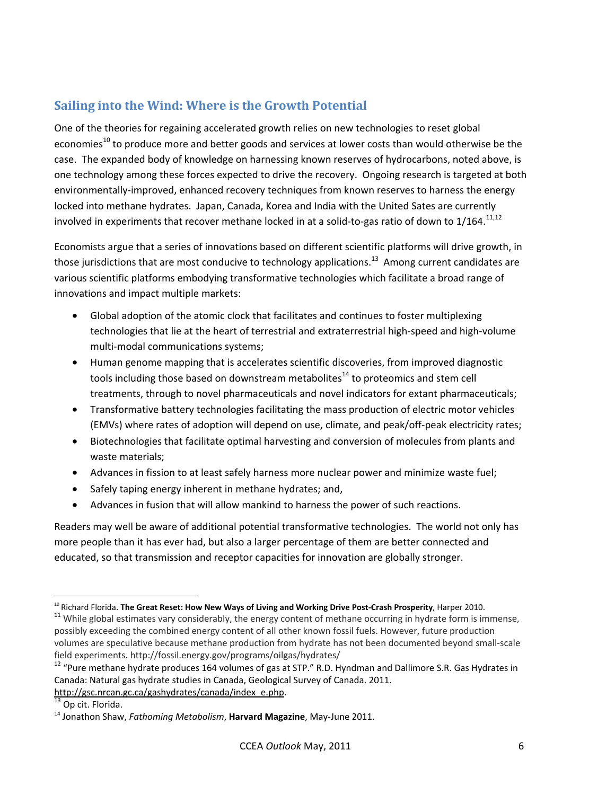# **Sailing into the Wind: Where is the Growth Potential**

One of the theories for regaining accelerated growth relies on new technologies to reset global economies<sup>10</sup> to produce more and better goods and services at lower costs than would otherwise be the case. The expanded body of knowledge on harnessing known reserves of hydrocarbons, noted above, is one technology among these forces expected to drive the recovery. Ongoing research is targeted at both environmentally-improved, enhanced recovery techniques from known reserves to harness the energy locked into methane hydrates. Japan, Canada, Korea and India with the United Sates are currently involved in experiments that recover methane locked in at a solid-to-gas ratio of down to  $1/164$ .<sup>11,12</sup>

Economists argue that a series of innovations based on different scientific platforms will drive growth, in those jurisdictions that are most conducive to technology applications.<sup>13</sup> Among current candidates are various scientific platforms embodying transformative technologies which facilitate a broad range of innovations and impact multiple markets:

- Global adoption of the atomic clock that facilitates and continues to foster multiplexing technologies that lie at the heart of terrestrial and extraterrestrial high-speed and high-volume multi-modal communications systems;
- Human genome mapping that is accelerates scientific discoveries, from improved diagnostic tools including those based on downstream metabolites<sup>14</sup> to proteomics and stem cell treatments, through to novel pharmaceuticals and novel indicators for extant pharmaceuticals;
- Transformative battery technologies facilitating the mass production of electric motor vehicles (EMVs) where rates of adoption will depend on use, climate, and peak/off-peak electricity rates;
- Biotechnologies that facilitate optimal harvesting and conversion of molecules from plants and waste materials;
- Advances in fission to at least safely harness more nuclear power and minimize waste fuel;
- Safely taping energy inherent in methane hydrates; and,
- Advances in fusion that will allow mankind to harness the power of such reactions.

Readers may well be aware of additional potential transformative technologies. The world not only has more people than it has ever had, but also a larger percentage of them are better connected and educated, so that transmission and receptor capacities for innovation are globally stronger.

<sup>1</sup> 

 $10$  Richard Florida. The Great Reset: How New Ways of Living and Working Drive Post-Crash Prosperity, Harper 2010.<br> $11$  While global estimates vary considerably, the energy content of methane occurring in hydrate form is possibly exceeding the combined energy content of all other known fossil fuels. However, future production volumes are speculative because methane production from hydrate has not been documented beyond small-scale field experiments. http://fossil.energy.gov/programs/oilgas/hydrates/

<sup>&</sup>lt;sup>12</sup> "Pure methane hydrate produces 164 volumes of gas at STP." R.D. Hyndman and Dallimore S.R. Gas Hydrates in Canada: Natural gas hydrate studies in Canada, Geological Survey of Canada. 2011. http://gsc.nrcan.gc.ca/gashydrates/canada/index\_e.php.<br><sup>13</sup> Op cit. Florida.

<sup>14</sup> Jonathon Shaw, *Fathoming Metabolism*, **Harvard Magazine**, May-June 2011.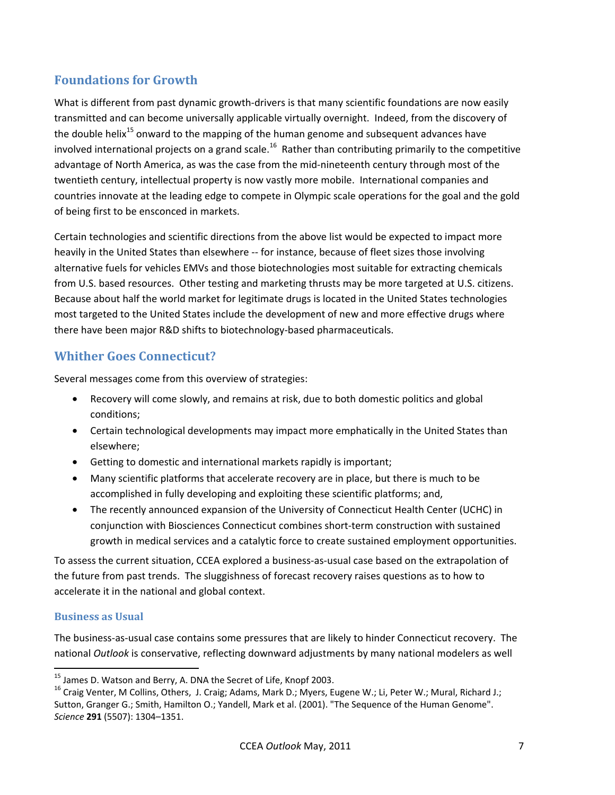# **Foundations for Growth**

What is different from past dynamic growth-drivers is that many scientific foundations are now easily transmitted and can become universally applicable virtually overnight. Indeed, from the discovery of the double helix<sup>15</sup> onward to the mapping of the human genome and subsequent advances have involved international projects on a grand scale.<sup>16</sup> Rather than contributing primarily to the competitive advantage of North America, as was the case from the mid-nineteenth century through most of the twentieth century, intellectual property is now vastly more mobile. International companies and countries innovate at the leading edge to compete in Olympic scale operations for the goal and the gold of being first to be ensconced in markets.

Certain technologies and scientific directions from the above list would be expected to impact more heavily in the United States than elsewhere -- for instance, because of fleet sizes those involving alternative fuels for vehicles EMVs and those biotechnologies most suitable for extracting chemicals from U.S. based resources. Other testing and marketing thrusts may be more targeted at U.S. citizens. Because about half the world market for legitimate drugs is located in the United States technologies most targeted to the United States include the development of new and more effective drugs where there have been major R&D shifts to biotechnology-based pharmaceuticals.

### **Whither Goes Connecticut?**

Several messages come from this overview of strategies:

- Recovery will come slowly, and remains at risk, due to both domestic politics and global conditions;
- Certain technological developments may impact more emphatically in the United States than elsewhere;
- Getting to domestic and international markets rapidly is important;
- Many scientific platforms that accelerate recovery are in place, but there is much to be accomplished in fully developing and exploiting these scientific platforms; and,
- The recently announced expansion of the University of Connecticut Health Center (UCHC) in conjunction with Biosciences Connecticut combines short-term construction with sustained growth in medical services and a catalytic force to create sustained employment opportunities.

To assess the current situation, CCEA explored a business-as-usual case based on the extrapolation of the future from past trends. The sluggishness of forecast recovery raises questions as to how to accelerate it in the national and global context.

#### **Business as Usual**

 $\overline{a}$ 

The business-as-usual case contains some pressures that are likely to hinder Connecticut recovery. The national *Outlook* is conservative, reflecting downward adjustments by many national modelers as well

 $^{15}$  James D. Watson and Berry, A. DNA the Secret of Life, Knopf 2003.

<sup>&</sup>lt;sup>16</sup> Craig Venter, M Collins, Others, J. Craig; Adams, Mark D.; Myers, Eugene W.; Li, Peter W.; Mural, Richard J.; Sutton, Granger G.; Smith, Hamilton O.; Yandell, Mark et al. (2001). "The Sequence of the Human Genome". *Science* **291** (5507): 1304–1351.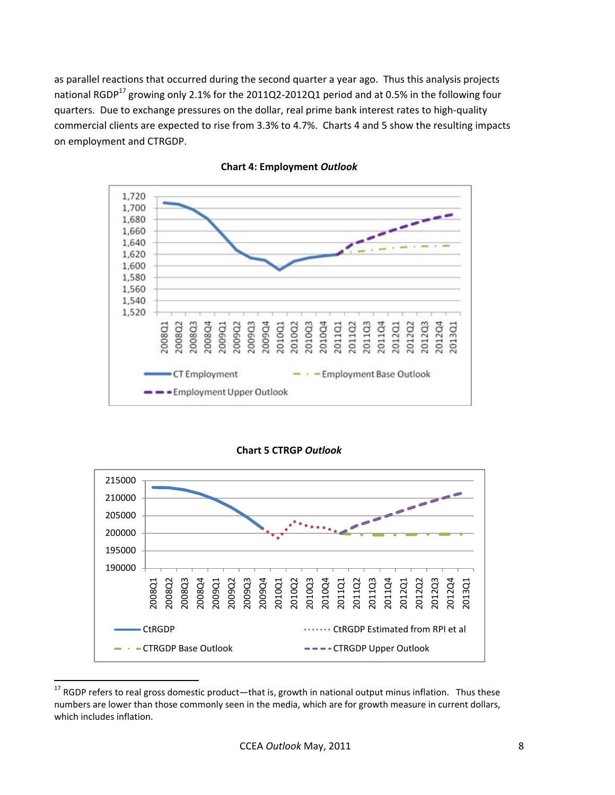as parallel reactions that occurred during the second quarter a year ago. Thus this analysis projects national RGDP<sup>17</sup> growing only 2.1% for the 2011Q2-2012Q1 period and at 0.5% in the following four quarters. Due to exchange pressures on the dollar, real prime bank interest rates to high-quality commercial clients are expected to rise from 3.3% to 4.7%. Charts 4 and 5 show the resulting impacts on employment and CTRGDP.





**Chart 5 CTRGP** *Outlook*



 $17$  RGDP refers to real gross domestic product—that is, growth in national output minus inflation. Thus these numbers are lower than those commonly seen in the media, which are for growth measure in current dollars, which includes inflation.

**.**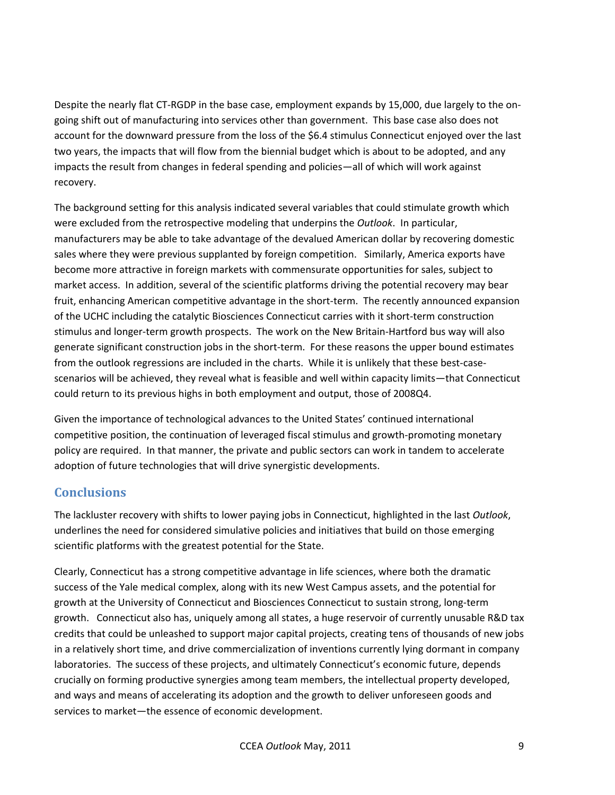Despite the nearly flat CT-RGDP in the base case, employment expands by 15,000, due largely to the ongoing shift out of manufacturing into services other than government. This base case also does not account for the downward pressure from the loss of the \$6.4 stimulus Connecticut enjoyed over the last two years, the impacts that will flow from the biennial budget which is about to be adopted, and any impacts the result from changes in federal spending and policies—all of which will work against recovery.

The background setting for this analysis indicated several variables that could stimulate growth which were excluded from the retrospective modeling that underpins the *Outlook*. In particular, manufacturers may be able to take advantage of the devalued American dollar by recovering domestic sales where they were previous supplanted by foreign competition. Similarly, America exports have become more attractive in foreign markets with commensurate opportunities for sales, subject to market access. In addition, several of the scientific platforms driving the potential recovery may bear fruit, enhancing American competitive advantage in the short-term. The recently announced expansion of the UCHC including the catalytic Biosciences Connecticut carries with it short-term construction stimulus and longer-term growth prospects. The work on the New Britain-Hartford bus way will also generate significant construction jobs in the short-term. For these reasons the upper bound estimates from the outlook regressions are included in the charts. While it is unlikely that these best-casescenarios will be achieved, they reveal what is feasible and well within capacity limits—that Connecticut could return to its previous highs in both employment and output, those of 2008Q4.

Given the importance of technological advances to the United States' continued international competitive position, the continuation of leveraged fiscal stimulus and growth-promoting monetary policy are required. In that manner, the private and public sectors can work in tandem to accelerate adoption of future technologies that will drive synergistic developments.

# **Conclusions**

The lackluster recovery with shifts to lower paying jobs in Connecticut, highlighted in the last *Outlook*, underlines the need for considered simulative policies and initiatives that build on those emerging scientific platforms with the greatest potential for the State.

Clearly, Connecticut has a strong competitive advantage in life sciences, where both the dramatic success of the Yale medical complex, along with its new West Campus assets, and the potential for growth at the University of Connecticut and Biosciences Connecticut to sustain strong, long-term growth. Connecticut also has, uniquely among all states, a huge reservoir of currently unusable R&D tax credits that could be unleashed to support major capital projects, creating tens of thousands of new jobs in a relatively short time, and drive commercialization of inventions currently lying dormant in company laboratories. The success of these projects, and ultimately Connecticut's economic future, depends crucially on forming productive synergies among team members, the intellectual property developed, and ways and means of accelerating its adoption and the growth to deliver unforeseen goods and services to market—the essence of economic development.